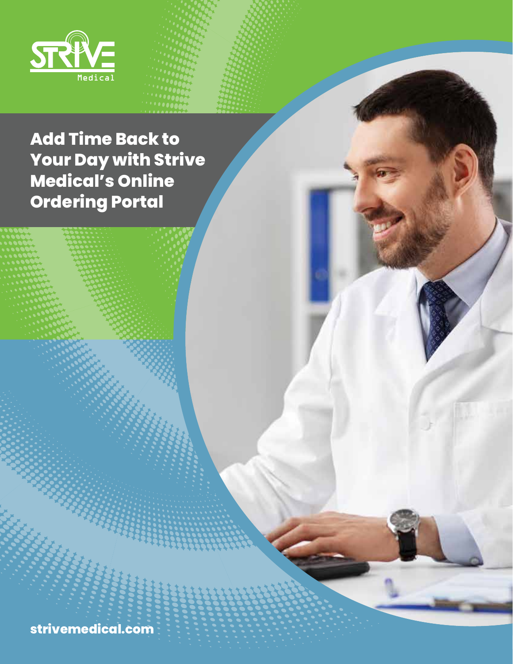

# **Add Time Back to Your Day with Strive Medical's Online Ordering Portal**

**strivemedical.com**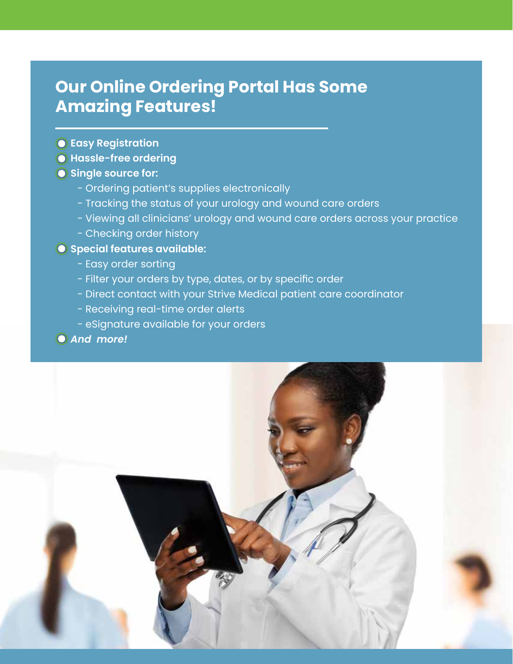### **Our Online Ordering Portal Has Some Amazing Features!**

- **Easy Registration**
- **Hassle-free ordering**
- **Single source for:** 
	- Ordering patient's supplies electronically
	- Tracking the status of your urology and wound care orders
	- Viewing all clinicians' urology and wound care orders across your practice
	- Checking order history

#### **Special features available:**

- Easy order sorting
- Filter your orders by type, dates, or by specific order
- Direct contact with your Strive Medical patient care coordinator
- Receiving real-time order alerts
- eSignature available for your orders

#### *And more!*

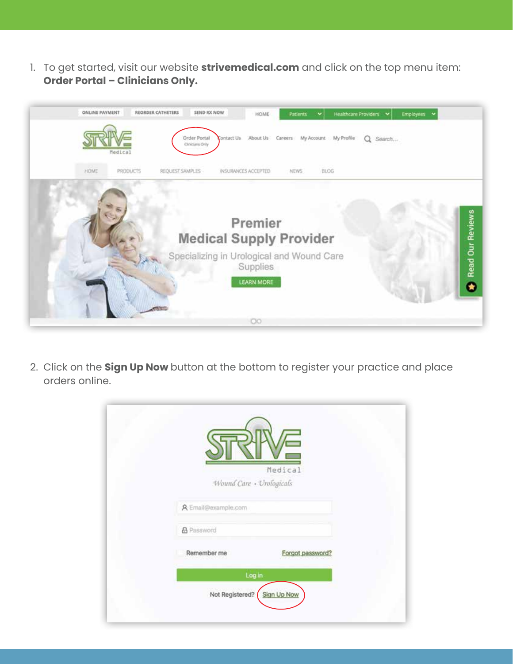1. To get started, visit our website **strivemedical.com** and click on the top menu item: **Order Portal – Clinicians Only.** 



2. Click on the **Sign Up Now** button at the bottom to register your practice and place orders online.

|                          | Medical          |  |
|--------------------------|------------------|--|
| Wound Care · Urologicals |                  |  |
| A Email@example.com      |                  |  |
| <b>&amp;</b> Password    |                  |  |
| Remember me              | Forgot password? |  |
| Log in                   |                  |  |
| Not Registered?          | Sign Up Now      |  |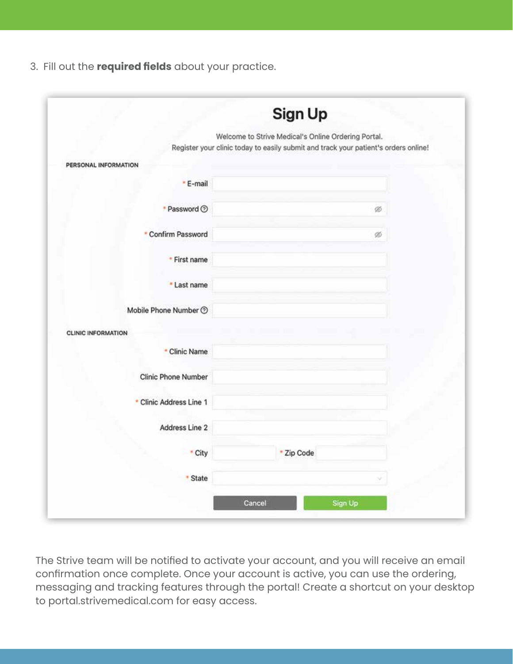3. Fill out the **required fields** about your practice.

|                            | Sign Up                                                                                                                                    |  |  |  |
|----------------------------|--------------------------------------------------------------------------------------------------------------------------------------------|--|--|--|
|                            | Welcome to Strive Medical's Online Ordering Portal.<br>Register your clinic today to easily submit and track your patient's orders online! |  |  |  |
| PERSONAL INFORMATION       |                                                                                                                                            |  |  |  |
| * E-mail                   |                                                                                                                                            |  |  |  |
| * Password ②               | ø                                                                                                                                          |  |  |  |
| * Confirm Password         | ø                                                                                                                                          |  |  |  |
| * First name               |                                                                                                                                            |  |  |  |
| * Last name                |                                                                                                                                            |  |  |  |
| Mobile Phone Number 2      |                                                                                                                                            |  |  |  |
| <b>CLINIC INFORMATION</b>  |                                                                                                                                            |  |  |  |
| * Clinic Name              |                                                                                                                                            |  |  |  |
| <b>Clinic Phone Number</b> |                                                                                                                                            |  |  |  |
| * Clinic Address Line 1    |                                                                                                                                            |  |  |  |
| Address Line 2             |                                                                                                                                            |  |  |  |
| * City                     | * Zip Code                                                                                                                                 |  |  |  |
| * State                    |                                                                                                                                            |  |  |  |
|                            |                                                                                                                                            |  |  |  |

The Strive team will be notified to activate your account, and you will receive an email confirmation once complete. Once your account is active, you can use the ordering, messaging and tracking features through the portal! Create a shortcut on your desktop to portal.strivemedical.com for easy access.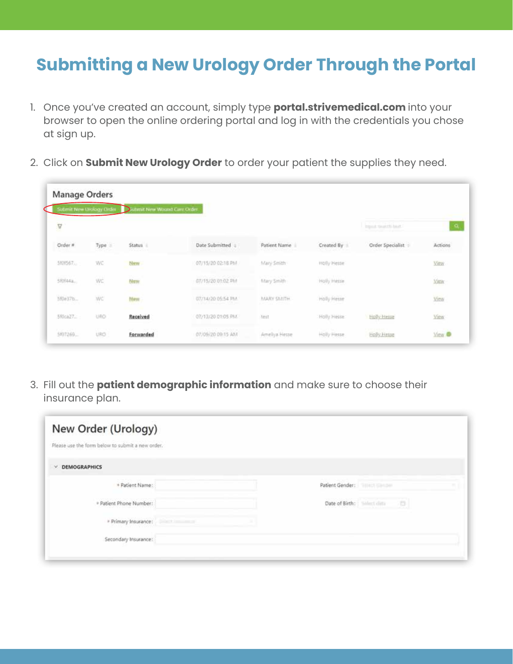## **Submitting a New Urology Order Through the Portal**

- 1. Once you've created an account, simply type **portal.strivemedical.com** into your browser to open the online ordering portal and log in with the credentials you chose at sign up.
- 2. Click on **Submit New Urology Order** to order your patient the supplies they need.

| Manage Orders | Submit New Urology Order | fimit New Woord Care Order.<br>כוו |                                                |                                            |             |                                |                   |
|---------------|--------------------------|------------------------------------|------------------------------------------------|--------------------------------------------|-------------|--------------------------------|-------------------|
| $\Delta$      |                          |                                    |                                                |                                            |             | from a moneth hair.            | -a                |
| Order #       | Type :                   | Status II<br>1999 (Carl of         | Date Submitted                                 | Patient Name                               | Created By  | Order Specialist               | Actions<br>eenmar |
| 5801567.      | WC                       | blane                              | 07/15/20 02:18 PM                              | Mary Smith                                 | Holly Hesse |                                | <b>Mitte</b>      |
| 58944a.       | WE                       | New                                | Contents of the Access of<br>07/15/20 01:02 PM | <b>U.S. A. A. A. MCA.</b><br>filtery Smith | Holly Hesse |                                | 1016<br>View      |
| 5f0e37b       | WC                       | New                                | 07/14/20 05:54 PM                              | MARY SMITH.<br>10 CTXX                     | Holly Hesse |                                | View<br>un n      |
| 580ca27       | URO                      | Received                           | 07/13/20 01:05 PM                              | test                                       | Holly Hesse | <b>Holly Hesse</b>             | View              |
| 5807269       | URO.                     | Forwarded                          | 07/09/20 09:15 AM                              | Ameliya Hesse                              | Holly Hisse | <b>STORY OF</b><br>Holly Hesse | <b>May @</b>      |

3. Fill out the **patient demographic information** and make sure to choose their insurance plan.

| New Order (Urology)<br>Please use the form below to submit a new order. |                      |                                 |    |  |
|-------------------------------------------------------------------------|----------------------|---------------------------------|----|--|
| <b>V DEMOGRAPHICS</b>                                                   |                      |                                 |    |  |
| + Patient Name:                                                         |                      | Patient Gender: William Manager |    |  |
| * Patient Phone Number:                                                 |                      |                                 | 13 |  |
| » Primary Insurance:                                                    | <b>Shirt Country</b> |                                 |    |  |
| Secondary Insurance:                                                    |                      |                                 |    |  |
|                                                                         |                      |                                 |    |  |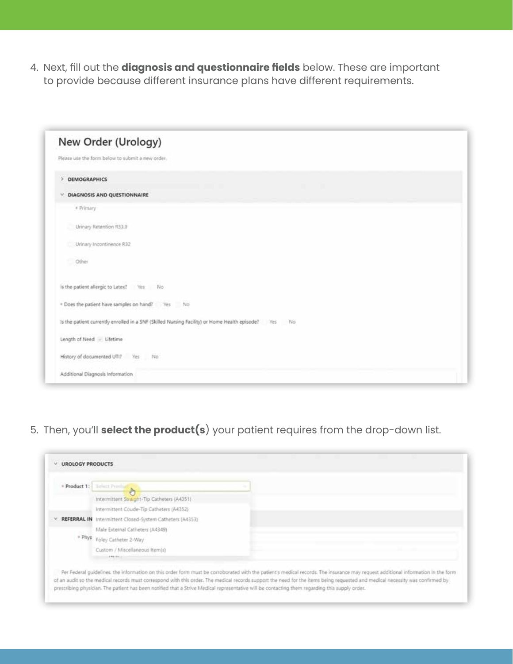4. Next, fill out the **diagnosis and questionnaire fields** below. These are important to provide because different insurance plans have different requirements.

| New Order (Urology)               |                                                                                                      |  |  |
|-----------------------------------|------------------------------------------------------------------------------------------------------|--|--|
|                                   | Please use the form below to submit a new order.                                                     |  |  |
| > DEMOGRAPHICS                    |                                                                                                      |  |  |
| V. DIAGNOSIS AND QUESTIONNAIRE    |                                                                                                      |  |  |
| * Primary                         |                                                                                                      |  |  |
| Urinary Retention R33.9           |                                                                                                      |  |  |
| Urinary Incontinence R32          |                                                                                                      |  |  |
| Other                             |                                                                                                      |  |  |
|                                   | is the patient allergic to Latex? Ves No                                                             |  |  |
|                                   | . Does the patient have samples on hand? Yes No                                                      |  |  |
|                                   | Is the patient currently enrolled in a SNF (Skilled Nursing Facility) or Home Health episode? Ves No |  |  |
| Length of Need - Lifetime         |                                                                                                      |  |  |
| History of documented UTI? Yes No |                                                                                                      |  |  |
| Additional Diagnosis Information  |                                                                                                      |  |  |

5. Then, you'll **select the product(s**) your patient requires from the drop-down list.

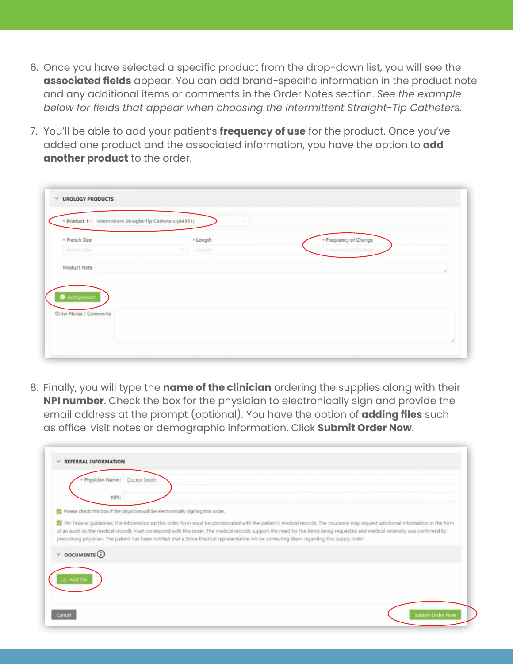- 6. Once you have selected a specific product from the drop-down list, you will see the **associated fields** appear. You can add brand-specific information in the product note and any additional items or comments in the Order Notes section. *See the example below for fields that appear when choosing the Intermittent Straight-Tip Catheters.*
- 7. You'll be able to add your patient's **frequency of use** for the product. Once you've added one product and the associated information, you have the option to **add another product** to the order.

|                                     | * Product 1: Intermittent Straight-Tip Catheters (A4351) |                       |  |
|-------------------------------------|----------------------------------------------------------|-----------------------|--|
| * French Size<br><b>Travell Say</b> | * Length<br>Limits.                                      | * Frequency of Change |  |
|                                     |                                                          |                       |  |
| Product Note                        |                                                          |                       |  |
|                                     |                                                          |                       |  |
|                                     |                                                          |                       |  |
| Add product:                        |                                                          |                       |  |
|                                     |                                                          |                       |  |
| Order Notes / Comments              |                                                          |                       |  |

8. Finally, you will type the **name of the clinician** ordering the supplies along with their **NPI number**. Check the box for the physician to electronically sign and provide the email address at the prompt (optional). You have the option of **adding files** such as office visit notes or demographic information. Click **Submit Order Now**.

| REFERRAL INFORMATION        |                                                                                                                                                                                                                                                                                                                                                                                                                                                                                                                       |                  |
|-----------------------------|-----------------------------------------------------------------------------------------------------------------------------------------------------------------------------------------------------------------------------------------------------------------------------------------------------------------------------------------------------------------------------------------------------------------------------------------------------------------------------------------------------------------------|------------------|
| Physician Name:             | Doctor Smith                                                                                                                                                                                                                                                                                                                                                                                                                                                                                                          |                  |
| NPI:                        |                                                                                                                                                                                                                                                                                                                                                                                                                                                                                                                       |                  |
|                             | [7] Please check this box if the physician will be electronically signing this order.                                                                                                                                                                                                                                                                                                                                                                                                                                 |                  |
|                             | 2 Per Federal guidelines, the information on this order form must be corroborated with the patient's medical records. The insurance may request additional information in the form<br>of an audit so the medical records must correspond with this order. The medical records support the need for the items being requested and medical necessity was confirmed by<br>prescribing physician. The patient has been notified that a Strive Medical representative will be contacting them regarding this supply order. |                  |
| $\vee$ DOCUMENTS $\bigcirc$ |                                                                                                                                                                                                                                                                                                                                                                                                                                                                                                                       |                  |
|                             |                                                                                                                                                                                                                                                                                                                                                                                                                                                                                                                       |                  |
| Cancel                      |                                                                                                                                                                                                                                                                                                                                                                                                                                                                                                                       | Submit Order Now |